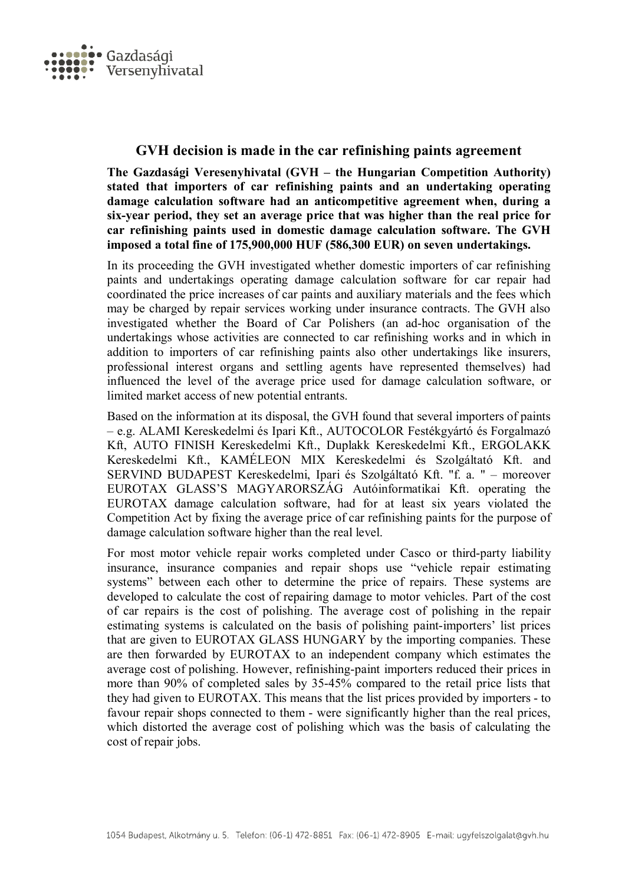

## **GVH decision is made in the car refinishing paints agreement**

**The Gazdasági Veresenyhivatal (GVH – the Hungarian Competition Authority) stated that importers of car refinishing paints and an undertaking operating damage calculation software had an anticompetitive agreement when, during a six-year period, they set an average price that was higher than the real price for car refinishing paints used in domestic damage calculation software. The GVH imposed a total fine of 175,900,000 HUF (586,300 EUR) on seven undertakings.**

In its proceeding the GVH investigated whether domestic importers of car refinishing paints and undertakings operating damage calculation software for car repair had coordinated the price increases of car paints and auxiliary materials and the fees which may be charged by repair services working under insurance contracts. The GVH also investigated whether the Board of Car Polishers (an ad-hoc organisation of the undertakings whose activities are connected to car refinishing works and in which in addition to importers of car refinishing paints also other undertakings like insurers, professional interest organs and settling agents have represented themselves) had influenced the level of the average price used for damage calculation software, or limited market access of new potential entrants.

Based on the information at its disposal, the GVH found that several importers of paints – e.g. ALAMI Kereskedelmi és Ipari Kft., AUTOCOLOR Festékgyártó és Forgalmazó Kft, AUTO FINISH Kereskedelmi Kft., Duplakk Kereskedelmi Kft., ERGOLAKK Kereskedelmi Kft., KAMÉLEON MIX Kereskedelmi és Szolgáltató Kft. and SERVIND BUDAPEST Kereskedelmi, Ipari és Szolgáltató Kft. "f. a. " – moreover EUROTAX GLASS'S MAGYARORSZÁG Autóinformatikai Kft. operating the EUROTAX damage calculation software, had for at least six years violated the Competition Act by fixing the average price of car refinishing paints for the purpose of damage calculation software higher than the real level.

For most motor vehicle repair works completed under Casco or third-party liability insurance, insurance companies and repair shops use "vehicle repair estimating systems" between each other to determine the price of repairs. These systems are developed to calculate the cost of repairing damage to motor vehicles. Part of the cost of car repairs is the cost of polishing. The average cost of polishing in the repair estimating systems is calculated on the basis of polishing paint-importers' list prices that are given to EUROTAX GLASS HUNGARY by the importing companies. These are then forwarded by EUROTAX to an independent company which estimates the average cost of polishing. However, refinishing-paint importers reduced their prices in more than 90% of completed sales by 35-45% compared to the retail price lists that they had given to EUROTAX. This means that the list prices provided by importers - to favour repair shops connected to them - were significantly higher than the real prices, which distorted the average cost of polishing which was the basis of calculating the cost of repair jobs.